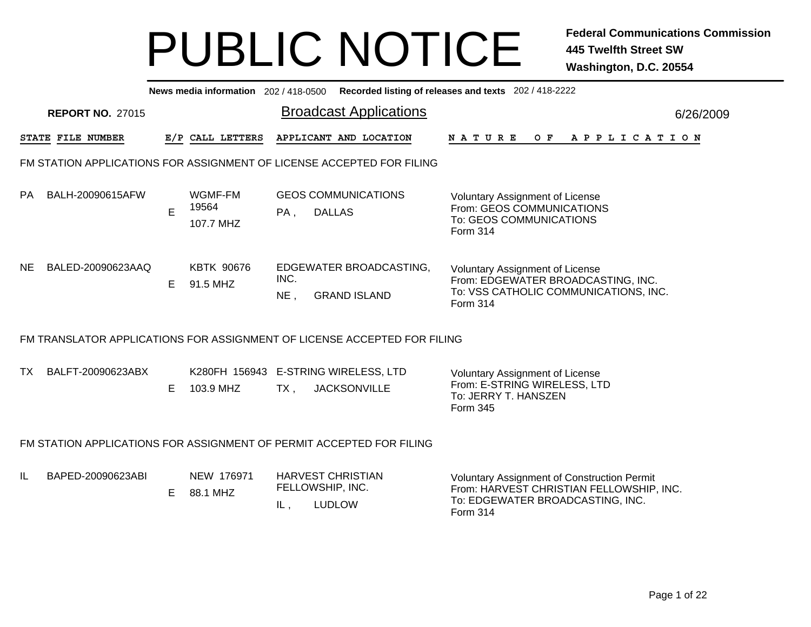|           |                         |    |                               |                | News media information 202/418-0500 Recorded listing of releases and texts 202/418-2222 |                                                                                                                                          |           |
|-----------|-------------------------|----|-------------------------------|----------------|-----------------------------------------------------------------------------------------|------------------------------------------------------------------------------------------------------------------------------------------|-----------|
|           | <b>REPORT NO. 27015</b> |    |                               |                | <b>Broadcast Applications</b>                                                           |                                                                                                                                          | 6/26/2009 |
|           | STATE FILE NUMBER       |    | E/P CALL LETTERS              |                | APPLICANT AND LOCATION                                                                  | <b>NATURE</b><br>O F<br>A P P L I C A T I O N                                                                                            |           |
|           |                         |    |                               |                | FM STATION APPLICATIONS FOR ASSIGNMENT OF LICENSE ACCEPTED FOR FILING                   |                                                                                                                                          |           |
| PA.       | BALH-20090615AFW        | E  | WGMF-FM<br>19564<br>107.7 MHZ | PA,            | <b>GEOS COMMUNICATIONS</b><br><b>DALLAS</b>                                             | <b>Voluntary Assignment of License</b><br>From: GEOS COMMUNICATIONS<br>To: GEOS COMMUNICATIONS<br><b>Form 314</b>                        |           |
| <b>NE</b> | BALED-20090623AAQ       | E. | <b>KBTK 90676</b><br>91.5 MHZ | INC.<br>$NE$ , | EDGEWATER BROADCASTING,<br><b>GRAND ISLAND</b>                                          | <b>Voluntary Assignment of License</b><br>From: EDGEWATER BROADCASTING, INC.<br>To: VSS CATHOLIC COMMUNICATIONS, INC.<br><b>Form 314</b> |           |
|           |                         |    |                               |                | FM TRANSLATOR APPLICATIONS FOR ASSIGNMENT OF LICENSE ACCEPTED FOR FILING                |                                                                                                                                          |           |
| TX.       | BALFT-20090623ABX       | E. | 103.9 MHZ                     | $TX$ .         | K280FH 156943 E-STRING WIRELESS, LTD<br><b>JACKSONVILLE</b>                             | Voluntary Assignment of License<br>From: E-STRING WIRELESS, LTD<br>To: JERRY T. HANSZEN<br>Form 345                                      |           |
|           |                         |    |                               |                | FM STATION APPLICATIONS FOR ASSIGNMENT OF PERMIT ACCEPTED FOR FILING                    |                                                                                                                                          |           |
| IL        | BAPED-20090623ABI       | E. | NEW 176971<br>88.1 MHZ        | IL,            | <b>HARVEST CHRISTIAN</b><br>FELLOWSHIP, INC.<br><b>LUDLOW</b>                           | Voluntary Assignment of Construction Permit<br>From: HARVEST CHRISTIAN FELLOWSHIP, INC.<br>To: EDGEWATER BROADCASTING, INC.<br>Form 314  |           |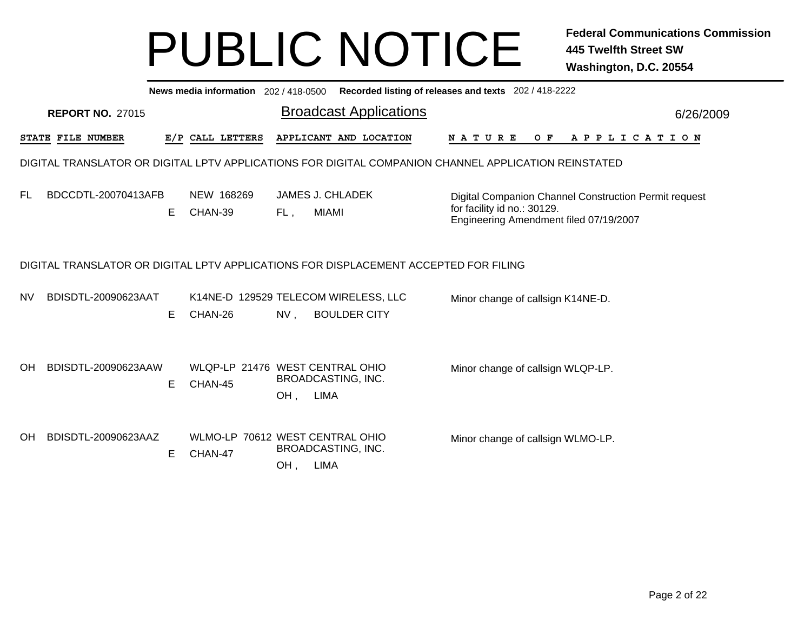|           | News media information 202 / 418-0500 Recorded listing of releases and texts 202 / 418-2222          |    |                                            |     |                                                                                      |                                                                                                                                |           |  |
|-----------|------------------------------------------------------------------------------------------------------|----|--------------------------------------------|-----|--------------------------------------------------------------------------------------|--------------------------------------------------------------------------------------------------------------------------------|-----------|--|
|           | <b>REPORT NO. 27015</b>                                                                              |    |                                            |     | <b>Broadcast Applications</b>                                                        |                                                                                                                                | 6/26/2009 |  |
|           | STATE FILE NUMBER                                                                                    |    | E/P CALL LETTERS                           |     | APPLICANT AND LOCATION                                                               | O F<br><b>NATURE</b><br>A P P L I C A T I O N                                                                                  |           |  |
|           | DIGITAL TRANSLATOR OR DIGITAL LPTV APPLICATIONS FOR DIGITAL COMPANION CHANNEL APPLICATION REINSTATED |    |                                            |     |                                                                                      |                                                                                                                                |           |  |
| <b>FL</b> | BDCCDTL-20070413AFB                                                                                  | E. | NEW 168269<br>CHAN-39                      | FL, | <b>JAMES J. CHLADEK</b><br><b>MIAMI</b>                                              | Digital Companion Channel Construction Permit request<br>for facility id no.: 30129.<br>Engineering Amendment filed 07/19/2007 |           |  |
|           |                                                                                                      |    |                                            |     | DIGITAL TRANSLATOR OR DIGITAL LPTV APPLICATIONS FOR DISPLACEMENT ACCEPTED FOR FILING |                                                                                                                                |           |  |
| NV        | BDISDTL-20090623AAT                                                                                  | Е  | CHAN-26                                    | NV. | K14NE-D 129529 TELECOM WIRELESS, LLC<br><b>BOULDER CITY</b>                          | Minor change of callsign K14NE-D.                                                                                              |           |  |
| OH        | BDISDTL-20090623AAW                                                                                  | Е  | WLQP-LP 21476 WEST CENTRAL OHIO<br>CHAN-45 | OH, | BROADCASTING, INC.<br><b>LIMA</b>                                                    | Minor change of callsign WLQP-LP.                                                                                              |           |  |
| <b>OH</b> | BDISDTL-20090623AAZ                                                                                  | Е  | WLMO-LP 70612 WEST CENTRAL OHIO<br>CHAN-47 | OH, | BROADCASTING, INC.<br><b>LIMA</b>                                                    | Minor change of callsign WLMO-LP.                                                                                              |           |  |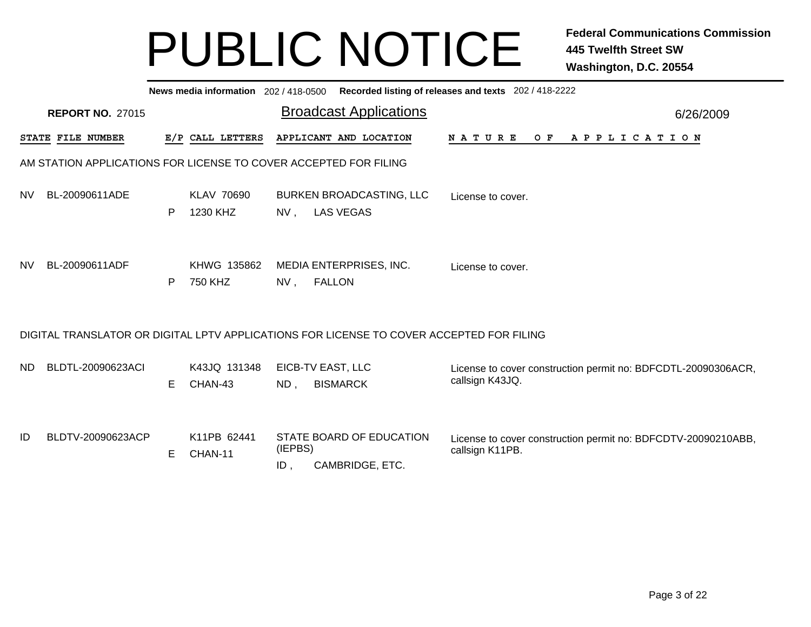|           | News media information 202 / 418-0500 Recorded listing of releases and texts 202 / 418-2222 |   |                               |                |                                                                                          |                                                                                  |  |  |  |  |
|-----------|---------------------------------------------------------------------------------------------|---|-------------------------------|----------------|------------------------------------------------------------------------------------------|----------------------------------------------------------------------------------|--|--|--|--|
|           | <b>REPORT NO. 27015</b>                                                                     |   |                               |                | <b>Broadcast Applications</b>                                                            | 6/26/2009                                                                        |  |  |  |  |
|           | STATE FILE NUMBER                                                                           |   | E/P CALL LETTERS              |                | APPLICANT AND LOCATION                                                                   | N A T U R E<br>O F<br>A P P L I C A T I O N                                      |  |  |  |  |
|           | AM STATION APPLICATIONS FOR LICENSE TO COVER ACCEPTED FOR FILING                            |   |                               |                |                                                                                          |                                                                                  |  |  |  |  |
| NV.       | BL-20090611ADE                                                                              | P | <b>KLAV 70690</b><br>1230 KHZ | $NV$ ,         | <b>BURKEN BROADCASTING, LLC</b><br><b>LAS VEGAS</b>                                      | License to cover.                                                                |  |  |  |  |
| <b>NV</b> | BL-20090611ADF                                                                              | P | KHWG 135862<br>750 KHZ        | NV,            | MEDIA ENTERPRISES, INC.<br><b>FALLON</b>                                                 | License to cover.                                                                |  |  |  |  |
|           |                                                                                             |   |                               |                | DIGITAL TRANSLATOR OR DIGITAL LPTV APPLICATIONS FOR LICENSE TO COVER ACCEPTED FOR FILING |                                                                                  |  |  |  |  |
| ND.       | BLDTL-20090623ACI                                                                           | E | K43JQ 131348<br>CHAN-43       | ND,            | EICB-TV EAST, LLC<br><b>BISMARCK</b>                                                     | License to cover construction permit no: BDFCDTL-20090306ACR,<br>callsign K43JQ. |  |  |  |  |
| ID        | BLDTV-20090623ACP                                                                           | Е | K11PB 62441<br>CHAN-11        | (IEPBS)<br>ID, | STATE BOARD OF EDUCATION<br>CAMBRIDGE, ETC.                                              | License to cover construction permit no: BDFCDTV-20090210ABB,<br>callsign K11PB. |  |  |  |  |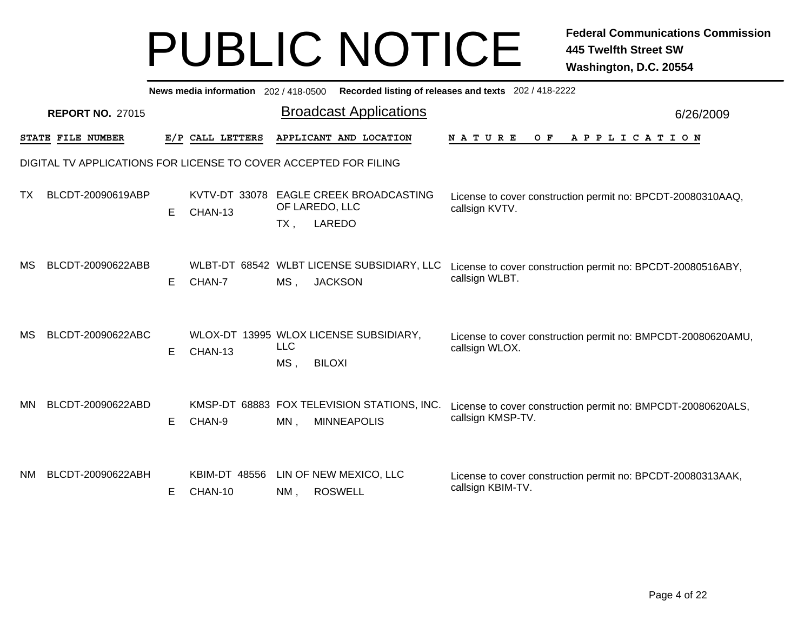|           | News media information 202 / 418-0500<br>Recorded listing of releases and texts 202 / 418-2222 |   |                                 |                      |                                                                    |                                                                                   |           |  |
|-----------|------------------------------------------------------------------------------------------------|---|---------------------------------|----------------------|--------------------------------------------------------------------|-----------------------------------------------------------------------------------|-----------|--|
|           | <b>REPORT NO. 27015</b>                                                                        |   |                                 |                      | <b>Broadcast Applications</b>                                      |                                                                                   | 6/26/2009 |  |
|           | STATE FILE NUMBER                                                                              |   | E/P CALL LETTERS                |                      | APPLICANT AND LOCATION                                             | A P P L I C A T I O N<br><b>NATURE</b><br>O F                                     |           |  |
|           | DIGITAL TV APPLICATIONS FOR LICENSE TO COVER ACCEPTED FOR FILING                               |   |                                 |                      |                                                                    |                                                                                   |           |  |
| тх        | BLCDT-20090619ABP                                                                              | Е | KVTV-DT 33078<br>CHAN-13        | $TX$ ,               | <b>EAGLE CREEK BROADCASTING</b><br>OF LAREDO, LLC<br><b>LAREDO</b> | License to cover construction permit no: BPCDT-20080310AAQ,<br>callsign KVTV.     |           |  |
| MS        | BLCDT-20090622ABB                                                                              | Е | CHAN-7                          | MS,                  | WLBT-DT 68542 WLBT LICENSE SUBSIDIARY, LLC<br><b>JACKSON</b>       | License to cover construction permit no: BPCDT-20080516ABY,<br>callsign WLBT.     |           |  |
| МS        | BLCDT-20090622ABC                                                                              | Е | CHAN-13                         | <b>LLC</b><br>$MS$ , | WLOX-DT 13995 WLOX LICENSE SUBSIDIARY,<br><b>BILOXI</b>            | License to cover construction permit no: BMPCDT-20080620AMU,<br>callsign WLOX.    |           |  |
| ΜN        | BLCDT-20090622ABD                                                                              | Е | CHAN-9                          | $MN$ ,               | KMSP-DT 68883 FOX TELEVISION STATIONS, INC.<br><b>MINNEAPOLIS</b>  | License to cover construction permit no: BMPCDT-20080620ALS,<br>callsign KMSP-TV. |           |  |
| <b>NM</b> | BLCDT-20090622ABH                                                                              | Е | <b>KBIM-DT 48556</b><br>CHAN-10 | NM,                  | LIN OF NEW MEXICO, LLC<br><b>ROSWELL</b>                           | License to cover construction permit no: BPCDT-20080313AAK,<br>callsign KBIM-TV.  |           |  |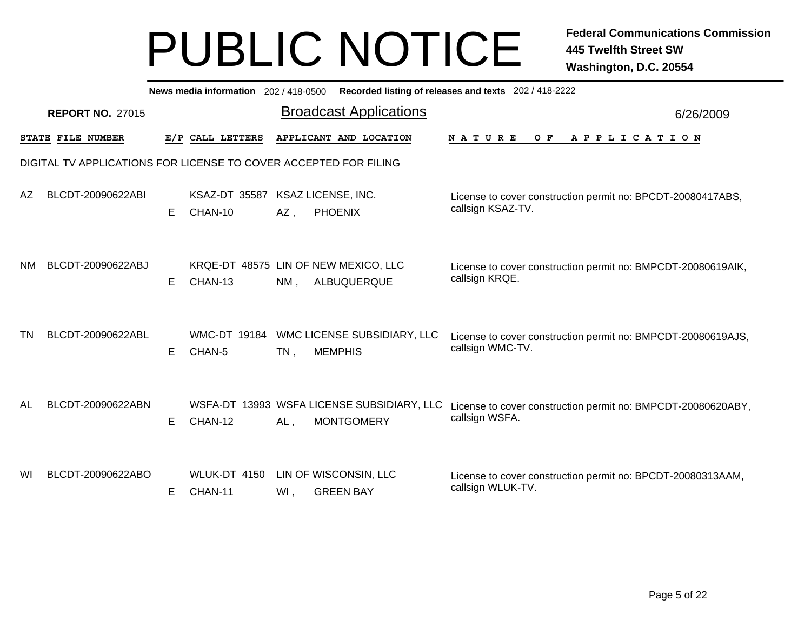|     | News media information 202 / 418-0500 Recorded listing of releases and texts 202 / 418-2222 |   |                               |        |                                                                 |                                                                                  |           |  |
|-----|---------------------------------------------------------------------------------------------|---|-------------------------------|--------|-----------------------------------------------------------------|----------------------------------------------------------------------------------|-----------|--|
|     | <b>REPORT NO. 27015</b>                                                                     |   |                               |        | <b>Broadcast Applications</b>                                   |                                                                                  | 6/26/2009 |  |
|     | STATE FILE NUMBER                                                                           |   | E/P CALL LETTERS              |        | APPLICANT AND LOCATION                                          | <b>NATURE</b><br>O F<br>A P P L I C A T I O N                                    |           |  |
|     | DIGITAL TV APPLICATIONS FOR LICENSE TO COVER ACCEPTED FOR FILING                            |   |                               |        |                                                                 |                                                                                  |           |  |
| AZ  | BLCDT-20090622ABI                                                                           | Е | KSAZ-DT 35587<br>CHAN-10      | $AZ$ , | KSAZ LICENSE, INC.<br><b>PHOENIX</b>                            | License to cover construction permit no: BPCDT-20080417ABS,<br>callsign KSAZ-TV. |           |  |
| NM. | BLCDT-20090622ABJ                                                                           | E | CHAN-13                       | $NM$ , | KRQE-DT 48575 LIN OF NEW MEXICO, LLC<br>ALBUQUERQUE             | License to cover construction permit no: BMPCDT-20080619AIK,<br>callsign KRQE.   |           |  |
| TN  | BLCDT-20090622ABL                                                                           | E | <b>WMC-DT 19184</b><br>CHAN-5 | $TN$ , | WMC LICENSE SUBSIDIARY, LLC<br><b>MEMPHIS</b>                   | License to cover construction permit no: BMPCDT-20080619AJS,<br>callsign WMC-TV. |           |  |
| AL  | BLCDT-20090622ABN                                                                           | Е | CHAN-12                       | $AL$ , | WSFA-DT 13993 WSFA LICENSE SUBSIDIARY, LLC<br><b>MONTGOMERY</b> | License to cover construction permit no: BMPCDT-20080620ABY,<br>callsign WSFA.   |           |  |
| WI  | BLCDT-20090622ABO                                                                           | Е | WLUK-DT 4150<br>CHAN-11       | WI,    | LIN OF WISCONSIN, LLC<br><b>GREEN BAY</b>                       | License to cover construction permit no: BPCDT-20080313AAM,<br>callsign WLUK-TV. |           |  |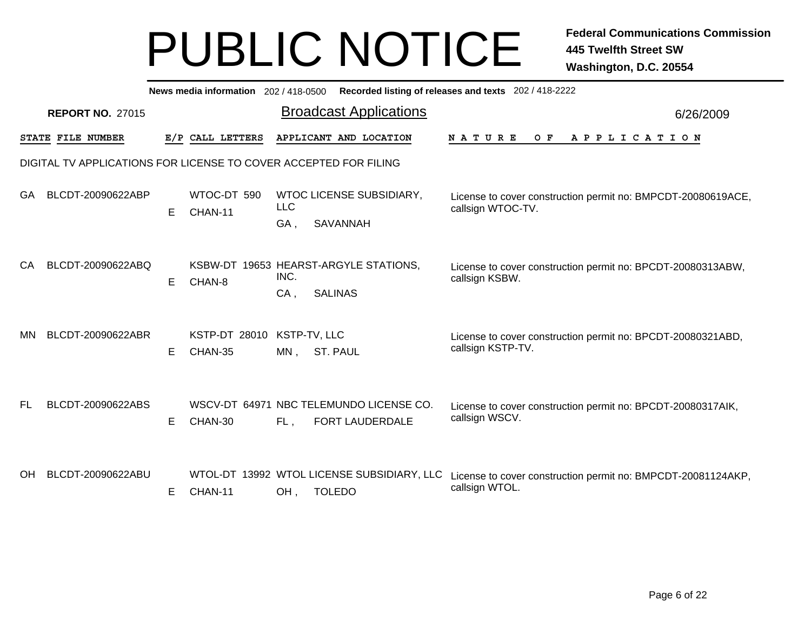|     | News media information 202 / 418-0500<br>Recorded listing of releases and texts 202 / 418-2222 |    |                        |              |                                                             |                                                                                   |           |  |  |
|-----|------------------------------------------------------------------------------------------------|----|------------------------|--------------|-------------------------------------------------------------|-----------------------------------------------------------------------------------|-----------|--|--|
|     | <b>REPORT NO. 27015</b>                                                                        |    |                        |              | <b>Broadcast Applications</b>                               |                                                                                   | 6/26/2009 |  |  |
|     | STATE FILE NUMBER                                                                              |    | E/P CALL LETTERS       |              | APPLICANT AND LOCATION                                      | <b>NATURE</b><br>O F<br>A P P L I C A T I O N                                     |           |  |  |
|     | DIGITAL TV APPLICATIONS FOR LICENSE TO COVER ACCEPTED FOR FILING                               |    |                        |              |                                                             |                                                                                   |           |  |  |
| GA  | BLCDT-20090622ABP                                                                              | E  | WTOC-DT 590<br>CHAN-11 | <b>LLC</b>   | WTOC LICENSE SUBSIDIARY,                                    | License to cover construction permit no: BMPCDT-20080619ACE,<br>callsign WTOC-TV. |           |  |  |
|     |                                                                                                |    |                        | GA,          | SAVANNAH                                                    |                                                                                   |           |  |  |
| CA  | BLCDT-20090622ABQ                                                                              | E  | CHAN-8                 | INC.         | KSBW-DT 19653 HEARST-ARGYLE STATIONS,                       | License to cover construction permit no: BPCDT-20080313ABW,<br>callsign KSBW.     |           |  |  |
|     |                                                                                                |    |                        | $CA$ ,       | <b>SALINAS</b>                                              |                                                                                   |           |  |  |
| ΜN  | BLCDT-20090622ABR                                                                              |    | <b>KSTP-DT 28010</b>   | KSTP-TV, LLC |                                                             | License to cover construction permit no: BPCDT-20080321ABD,                       |           |  |  |
|     |                                                                                                | E. | CHAN-35                | $MN$ ,       | <b>ST. PAUL</b>                                             | callsign KSTP-TV.                                                                 |           |  |  |
| FL  | BLCDT-20090622ABS                                                                              |    |                        |              | WSCV-DT 64971 NBC TELEMUNDO LICENSE CO.                     | License to cover construction permit no: BPCDT-20080317AIK,                       |           |  |  |
|     |                                                                                                | Е  | CHAN-30                | FL,          | FORT LAUDERDALE                                             | callsign WSCV.                                                                    |           |  |  |
|     |                                                                                                |    |                        |              |                                                             |                                                                                   |           |  |  |
| OH. | BLCDT-20090622ABU                                                                              | Е  | CHAN-11                | OH,          | WTOL-DT 13992 WTOL LICENSE SUBSIDIARY, LLC<br><b>TOLEDO</b> | License to cover construction permit no: BMPCDT-20081124AKP,<br>callsign WTOL.    |           |  |  |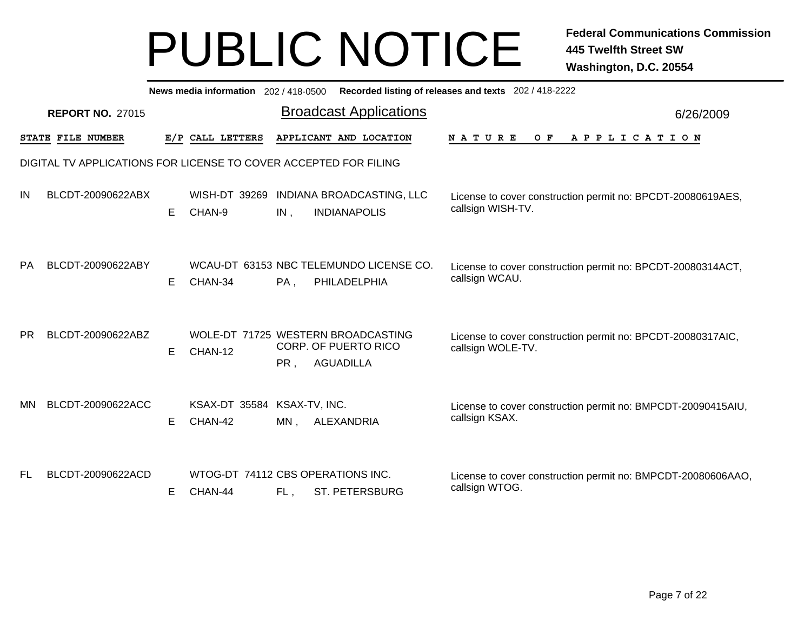|           | News media information 202 / 418-0500<br>Recorded listing of releases and texts 202 / 418-2222 |   |                                              |     |                                                                                       |                                                                                  |           |  |
|-----------|------------------------------------------------------------------------------------------------|---|----------------------------------------------|-----|---------------------------------------------------------------------------------------|----------------------------------------------------------------------------------|-----------|--|
|           | <b>REPORT NO. 27015</b>                                                                        |   |                                              |     | <b>Broadcast Applications</b>                                                         |                                                                                  | 6/26/2009 |  |
|           | STATE FILE NUMBER                                                                              |   | E/P CALL LETTERS                             |     | APPLICANT AND LOCATION                                                                | NATURE<br>O F<br>APPLICATION                                                     |           |  |
|           | DIGITAL TV APPLICATIONS FOR LICENSE TO COVER ACCEPTED FOR FILING                               |   |                                              |     |                                                                                       |                                                                                  |           |  |
| IN        | BLCDT-20090622ABX                                                                              | Е | CHAN-9                                       | IN, | WISH-DT 39269 INDIANA BROADCASTING, LLC<br><b>INDIANAPOLIS</b>                        | License to cover construction permit no: BPCDT-20080619AES,<br>callsign WISH-TV. |           |  |
| <b>PA</b> | BLCDT-20090622ABY                                                                              | Е | CHAN-34                                      | PA, | WCAU-DT 63153 NBC TELEMUNDO LICENSE CO.<br>PHILADELPHIA                               | License to cover construction permit no: BPCDT-20080314ACT,<br>callsign WCAU.    |           |  |
| <b>PR</b> | BLCDT-20090622ABZ                                                                              | E | CHAN-12                                      | PR, | WOLE-DT 71725 WESTERN BROADCASTING<br><b>CORP. OF PUERTO RICO</b><br><b>AGUADILLA</b> | License to cover construction permit no: BPCDT-20080317AIC,<br>callsign WOLE-TV. |           |  |
| MN        | BLCDT-20090622ACC                                                                              | Е | KSAX-DT 35584 KSAX-TV, INC.<br>CHAN-42       | MN, | ALEXANDRIA                                                                            | License to cover construction permit no: BMPCDT-20090415AIU,<br>callsign KSAX.   |           |  |
| FL        | BLCDT-20090622ACD                                                                              | Е | WTOG-DT 74112 CBS OPERATIONS INC.<br>CHAN-44 | FL, | <b>ST. PETERSBURG</b>                                                                 | License to cover construction permit no: BMPCDT-20080606AAO,<br>callsign WTOG.   |           |  |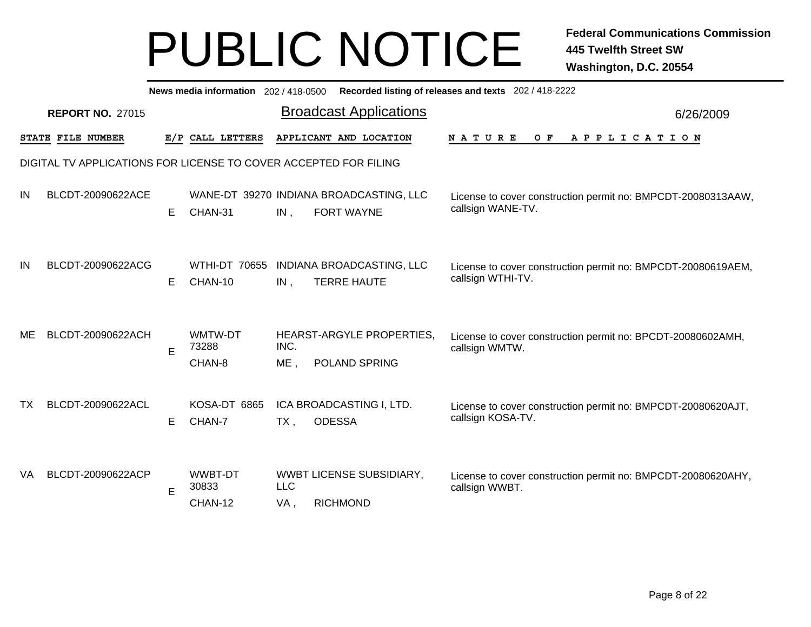|     | News media information 202 / 418-0500 Recorded listing of releases and texts 202 / 418-2222 |   |                                    |                   |                                                       |                                                                                   |           |  |
|-----|---------------------------------------------------------------------------------------------|---|------------------------------------|-------------------|-------------------------------------------------------|-----------------------------------------------------------------------------------|-----------|--|
|     | <b>REPORT NO. 27015</b>                                                                     |   |                                    |                   | <b>Broadcast Applications</b>                         |                                                                                   | 6/26/2009 |  |
|     | STATE FILE NUMBER                                                                           |   | E/P CALL LETTERS                   |                   | APPLICANT AND LOCATION                                | <b>NATURE</b><br>O F<br>A P P L I C A T I O N                                     |           |  |
|     | DIGITAL TV APPLICATIONS FOR LICENSE TO COVER ACCEPTED FOR FILING                            |   |                                    |                   |                                                       |                                                                                   |           |  |
| IN  | BLCDT-20090622ACE                                                                           | Е | CHAN-31                            | $IN$ ,            | WANE-DT 39270 INDIANA BROADCASTING, LLC<br>FORT WAYNE | License to cover construction permit no: BMPCDT-20080313AAW,<br>callsign WANE-TV. |           |  |
| IN  | BLCDT-20090622ACG                                                                           | Е | <b>WTHI-DT 70655</b><br>CHAN-10    | IN,               | INDIANA BROADCASTING, LLC<br><b>TERRE HAUTE</b>       | License to cover construction permit no: BMPCDT-20080619AEM,<br>callsign WTHI-TV. |           |  |
| ME  | BLCDT-20090622ACH                                                                           | E | WMTW-DT<br>73288<br>CHAN-8         | INC.<br>ME,       | HEARST-ARGYLE PROPERTIES.<br>POLAND SPRING            | License to cover construction permit no: BPCDT-20080602AMH,<br>callsign WMTW.     |           |  |
| ТX  | BLCDT-20090622ACL                                                                           | Е | KOSA-DT 6865<br>CHAN-7             | TX,               | ICA BROADCASTING I, LTD.<br><b>ODESSA</b>             | License to cover construction permit no: BMPCDT-20080620AJT,<br>callsign KOSA-TV. |           |  |
| VA. | BLCDT-20090622ACP                                                                           | E | <b>WWBT-DT</b><br>30833<br>CHAN-12 | <b>LLC</b><br>VA, | <b>WWBT LICENSE SUBSIDIARY,</b><br><b>RICHMOND</b>    | License to cover construction permit no: BMPCDT-20080620AHY,<br>callsign WWBT.    |           |  |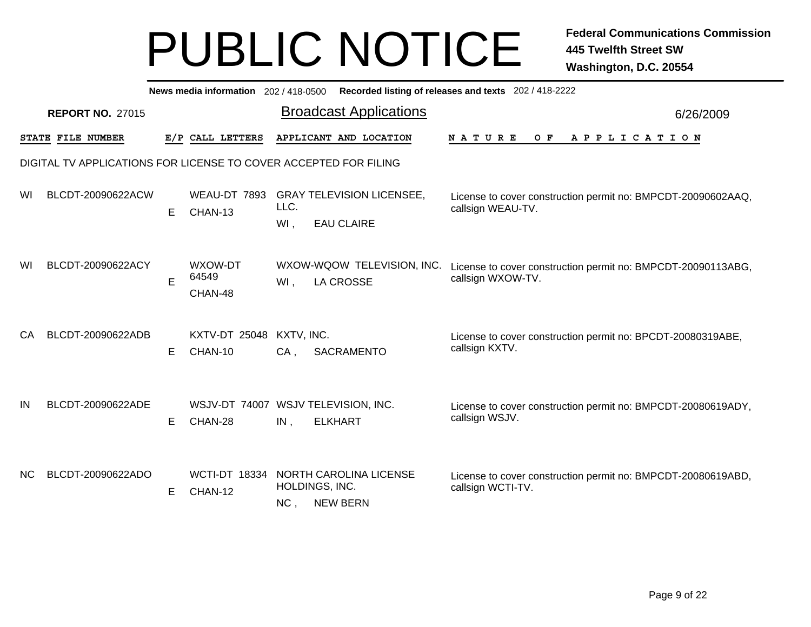|     | News media information 202/418-0500<br>Recorded listing of releases and texts 202 / 418-2222 |   |                                 |                                                                                                                                                           |           |  |  |
|-----|----------------------------------------------------------------------------------------------|---|---------------------------------|-----------------------------------------------------------------------------------------------------------------------------------------------------------|-----------|--|--|
|     | <b>REPORT NO. 27015</b>                                                                      |   |                                 | <b>Broadcast Applications</b>                                                                                                                             | 6/26/2009 |  |  |
|     | STATE FILE NUMBER                                                                            |   | E/P CALL LETTERS                | APPLICANT AND LOCATION<br>N A T U R E<br>O F<br>A P P L I C A T I O N                                                                                     |           |  |  |
|     |                                                                                              |   |                                 | DIGITAL TV APPLICATIONS FOR LICENSE TO COVER ACCEPTED FOR FILING                                                                                          |           |  |  |
| WI  | BLCDT-20090622ACW                                                                            | Е | WEAU-DT 7893<br>CHAN-13         | <b>GRAY TELEVISION LICENSEE,</b><br>License to cover construction permit no: BMPCDT-20090602AAQ,<br>LLC.<br>callsign WEAU-TV.<br>WI.<br><b>EAU CLAIRE</b> |           |  |  |
| WI  | BLCDT-20090622ACY                                                                            | E | WXOW-DT<br>64549<br>CHAN-48     | WXOW-WQOW TELEVISION, INC.<br>License to cover construction permit no: BMPCDT-20090113ABG,<br>callsign WXOW-TV.<br><b>LA CROSSE</b><br>$WI$ ,             |           |  |  |
| CA  | BLCDT-20090622ADB                                                                            | Е | <b>KXTV-DT 25048</b><br>CHAN-10 | KXTV, INC.<br>License to cover construction permit no: BPCDT-20080319ABE,<br>callsign KXTV.<br>SACRAMENTO<br>$CA$ ,                                       |           |  |  |
| IN  | BLCDT-20090622ADE                                                                            | Е | CHAN-28                         | WSJV-DT 74007 WSJV TELEVISION, INC.<br>License to cover construction permit no: BMPCDT-20080619ADY,<br>callsign WSJV.<br>$IN$ ,<br><b>ELKHART</b>         |           |  |  |
| NC. | BLCDT-20090622ADO                                                                            | Е | <b>WCTI-DT 18334</b><br>CHAN-12 | NORTH CAROLINA LICENSE<br>License to cover construction permit no: BMPCDT-20080619ABD,<br>HOLDINGS, INC.<br>callsign WCTI-TV.<br><b>NEW BERN</b><br>NC,   |           |  |  |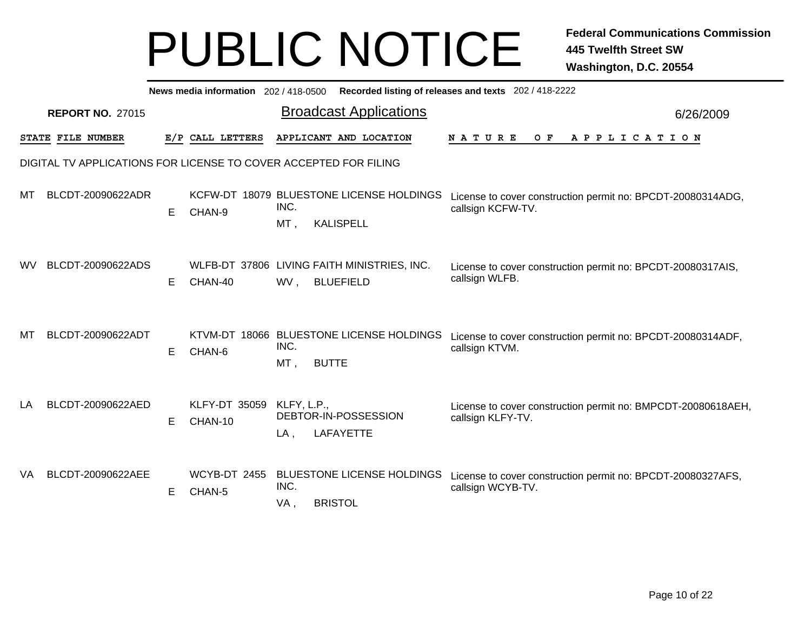|     |                         |   |                                 | News media information 202 / 418-0500 Recorded listing of releases and texts 202 / 418-2222                                                                        |           |  |  |  |  |  |  |
|-----|-------------------------|---|---------------------------------|--------------------------------------------------------------------------------------------------------------------------------------------------------------------|-----------|--|--|--|--|--|--|
|     | <b>REPORT NO. 27015</b> |   |                                 | <b>Broadcast Applications</b>                                                                                                                                      | 6/26/2009 |  |  |  |  |  |  |
|     | STATE FILE NUMBER       |   | E/P CALL LETTERS                | APPLICANT AND LOCATION<br><b>NATURE</b><br>A P P L I C A T I O N<br>O F                                                                                            |           |  |  |  |  |  |  |
|     |                         |   |                                 | DIGITAL TV APPLICATIONS FOR LICENSE TO COVER ACCEPTED FOR FILING                                                                                                   |           |  |  |  |  |  |  |
| мı  | BLCDT-20090622ADR       | Е | CHAN-9                          | KCFW-DT 18079 BLUESTONE LICENSE HOLDINGS<br>License to cover construction permit no: BPCDT-20080314ADG,<br>INC.<br>callsign KCFW-TV.<br>$MT$ .<br><b>KALISPELL</b> |           |  |  |  |  |  |  |
| wv  | BLCDT-20090622ADS       | Е | CHAN-40                         | WLFB-DT 37806 LIVING FAITH MINISTRIES, INC.<br>License to cover construction permit no: BPCDT-20080317AIS,<br>callsign WLFB.<br><b>BLUEFIELD</b><br>WV,            |           |  |  |  |  |  |  |
| мт  | BLCDT-20090622ADT       | E | CHAN-6                          | KTVM-DT 18066 BLUESTONE LICENSE HOLDINGS<br>License to cover construction permit no: BPCDT-20080314ADF,<br>INC.<br>callsign KTVM.<br>MT,<br><b>BUTTE</b>           |           |  |  |  |  |  |  |
| LA  | BLCDT-20090622AED       | E | <b>KLFY-DT 35059</b><br>CHAN-10 | KLFY, L.P.,<br>License to cover construction permit no: BMPCDT-20080618AEH,<br>DEBTOR-IN-POSSESSION<br>callsign KLFY-TV.<br><b>LAFAYETTE</b><br>$LA$ ,             |           |  |  |  |  |  |  |
| VA. | BLCDT-20090622AEE       | Е | <b>WCYB-DT 2455</b><br>CHAN-5   | <b>BLUESTONE LICENSE HOLDINGS</b><br>License to cover construction permit no: BPCDT-20080327AFS,<br>INC.<br>callsign WCYB-TV.<br><b>BRISTOL</b><br>VA,             |           |  |  |  |  |  |  |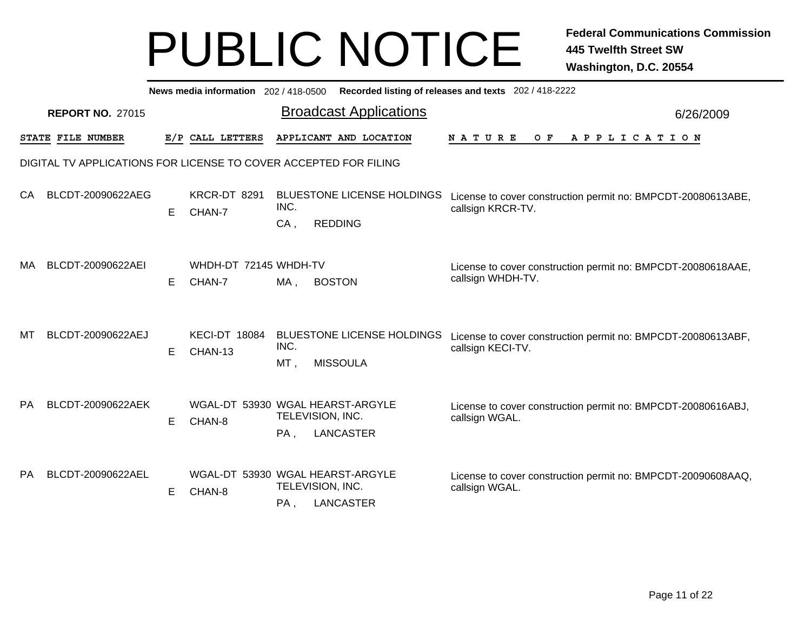|           | News media information 202 / 418-0500<br>Recorded listing of releases and texts 202 / 418-2222 |   |                                 |                                                                                                                                                                   |           |  |  |  |
|-----------|------------------------------------------------------------------------------------------------|---|---------------------------------|-------------------------------------------------------------------------------------------------------------------------------------------------------------------|-----------|--|--|--|
|           | <b>REPORT NO. 27015</b>                                                                        |   |                                 | <b>Broadcast Applications</b>                                                                                                                                     | 6/26/2009 |  |  |  |
|           | STATE FILE NUMBER                                                                              |   | E/P CALL LETTERS                | APPLICANT AND LOCATION<br><b>NATURE</b><br>O F<br>A P P L I C A T I O N                                                                                           |           |  |  |  |
|           |                                                                                                |   |                                 | DIGITAL TV APPLICATIONS FOR LICENSE TO COVER ACCEPTED FOR FILING                                                                                                  |           |  |  |  |
| CA.       | BLCDT-20090622AEG                                                                              | Е | KRCR-DT 8291<br>CHAN-7          | <b>BLUESTONE LICENSE HOLDINGS</b><br>License to cover construction permit no: BMPCDT-20080613ABE,<br>INC.<br>callsign KRCR-TV.<br>CA,<br><b>REDDING</b>           |           |  |  |  |
| МA        | BLCDT-20090622AEI                                                                              | E | WHDH-DT 72145 WHDH-TV<br>CHAN-7 | License to cover construction permit no: BMPCDT-20080618AAE,<br>callsign WHDH-TV.<br>$MA$ ,<br><b>BOSTON</b>                                                      |           |  |  |  |
| MТ        | BLCDT-20090622AEJ                                                                              | Е | <b>KECI-DT 18084</b><br>CHAN-13 | <b>BLUESTONE LICENSE HOLDINGS</b><br>License to cover construction permit no: BMPCDT-20080613ABF,<br>INC.<br>callsign KECI-TV.<br><b>MISSOULA</b><br>MT,          |           |  |  |  |
| PA.       | BLCDT-20090622AEK                                                                              | Е | CHAN-8                          | WGAL-DT 53930 WGAL HEARST-ARGYLE<br>License to cover construction permit no: BMPCDT-20080616ABJ,<br>TELEVISION, INC.<br>callsign WGAL.<br><b>LANCASTER</b><br>PA, |           |  |  |  |
| <b>PA</b> | BLCDT-20090622AEL                                                                              | Е | CHAN-8                          | WGAL-DT 53930 WGAL HEARST-ARGYLE<br>License to cover construction permit no: BMPCDT-20090608AAQ,<br>TELEVISION, INC.<br>callsign WGAL.<br><b>LANCASTER</b><br>PA, |           |  |  |  |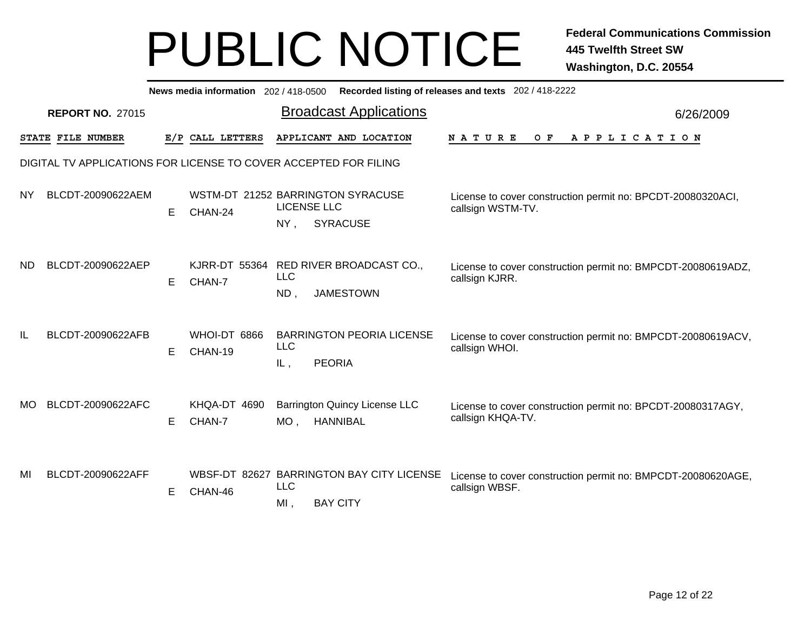|           |                         |   |                                 | News media information 202 / 418-0500 Recorded listing of releases and texts 202 / 418-2222               |                                                              |
|-----------|-------------------------|---|---------------------------------|-----------------------------------------------------------------------------------------------------------|--------------------------------------------------------------|
|           | <b>REPORT NO. 27015</b> |   |                                 | <b>Broadcast Applications</b>                                                                             | 6/26/2009                                                    |
|           | STATE FILE NUMBER       |   | E/P CALL LETTERS                | APPLICANT AND LOCATION<br><b>NATURE</b><br>O F                                                            | A P P L I C A T I O N                                        |
|           |                         |   |                                 | DIGITAL TV APPLICATIONS FOR LICENSE TO COVER ACCEPTED FOR FILING                                          |                                                              |
| <b>NY</b> | BLCDT-20090622AEM       | E | CHAN-24                         | WSTM-DT 21252 BARRINGTON SYRACUSE<br><b>LICENSE LLC</b><br>callsign WSTM-TV.<br><b>SYRACUSE</b><br>$NY$ , | License to cover construction permit no: BPCDT-20080320ACI,  |
| ND.       | BLCDT-20090622AEP       | E | <b>KJRR-DT 55364</b><br>CHAN-7  | RED RIVER BROADCAST CO.,<br><b>LLC</b><br>callsign KJRR.<br><b>JAMESTOWN</b><br>$ND$ ,                    | License to cover construction permit no: BMPCDT-20080619ADZ, |
| IL        | BLCDT-20090622AFB       | E | WHOI-DT 6866<br>CHAN-19         | <b>BARRINGTON PEORIA LICENSE</b><br><b>LLC</b><br>callsign WHOI.<br><b>PEORIA</b><br>IL,                  | License to cover construction permit no: BMPCDT-20080619ACV, |
| MO.       | BLCDT-20090622AFC       | Е | KHQA-DT 4690<br>CHAN-7          | <b>Barrington Quincy License LLC</b><br>callsign KHQA-TV.<br><b>HANNIBAL</b><br>MO <sub>1</sub>           | License to cover construction permit no: BPCDT-20080317AGY,  |
| MI        | BLCDT-20090622AFF       | Е | <b>WBSF-DT 82627</b><br>CHAN-46 | <b>BARRINGTON BAY CITY LICENSE</b><br><b>LLC</b><br>callsign WBSF.<br><b>BAY CITY</b><br>MI,              | License to cover construction permit no: BMPCDT-20080620AGE, |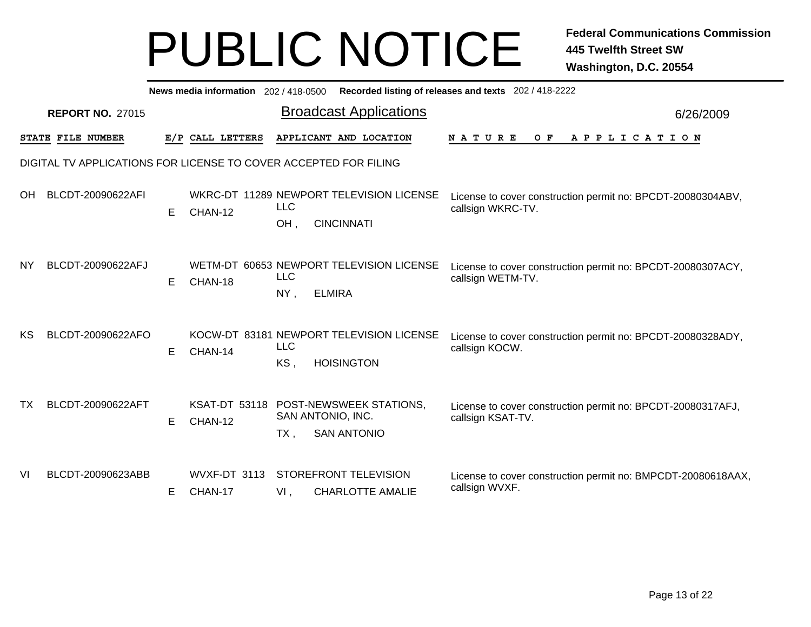|     | News media information 202 / 418-0500 Recorded listing of releases and texts 202 / 418-2222 |   |                         |                             |                                                               |                                                                                  |           |  |  |  |  |  |
|-----|---------------------------------------------------------------------------------------------|---|-------------------------|-----------------------------|---------------------------------------------------------------|----------------------------------------------------------------------------------|-----------|--|--|--|--|--|
|     | <b>REPORT NO. 27015</b>                                                                     |   |                         |                             | <b>Broadcast Applications</b>                                 |                                                                                  | 6/26/2009 |  |  |  |  |  |
|     | STATE FILE NUMBER                                                                           |   | E/P CALL LETTERS        |                             | APPLICANT AND LOCATION                                        | <b>NATURE</b><br>A P P L I C A T I O N<br>O F                                    |           |  |  |  |  |  |
|     | DIGITAL TV APPLICATIONS FOR LICENSE TO COVER ACCEPTED FOR FILING                            |   |                         |                             |                                                               |                                                                                  |           |  |  |  |  |  |
| OН  | BLCDT-20090622AFI                                                                           | E | CHAN-12                 | <b>LLC</b><br>OH,           | WKRC-DT 11289 NEWPORT TELEVISION LICENSE<br><b>CINCINNATI</b> | License to cover construction permit no: BPCDT-20080304ABV,<br>callsign WKRC-TV. |           |  |  |  |  |  |
| ΝY  | BLCDT-20090622AFJ                                                                           | E | CHAN-18                 | <b>LLC</b><br>NY,           | WETM-DT 60653 NEWPORT TELEVISION LICENSE<br><b>ELMIRA</b>     | License to cover construction permit no: BPCDT-20080307ACY,<br>callsign WETM-TV. |           |  |  |  |  |  |
| KS  | BLCDT-20090622AFO                                                                           | Е | CHAN-14                 | <b>LLC</b><br>KS.           | KOCW-DT 83181 NEWPORT TELEVISION LICENSE<br><b>HOISINGTON</b> | License to cover construction permit no: BPCDT-20080328ADY,<br>callsign KOCW.    |           |  |  |  |  |  |
| TX. | BLCDT-20090622AFT                                                                           | Е | CHAN-12                 | SAN ANTONIO, INC.<br>$TX$ , | KSAT-DT 53118 POST-NEWSWEEK STATIONS,<br><b>SAN ANTONIO</b>   | License to cover construction permit no: BPCDT-20080317AFJ,<br>callsign KSAT-TV. |           |  |  |  |  |  |
| VI  | BLCDT-20090623ABB                                                                           | Е | WVXF-DT 3113<br>CHAN-17 | $VI$ ,                      | STOREFRONT TELEVISION<br><b>CHARLOTTE AMALIE</b>              | License to cover construction permit no: BMPCDT-20080618AAX,<br>callsign WVXF.   |           |  |  |  |  |  |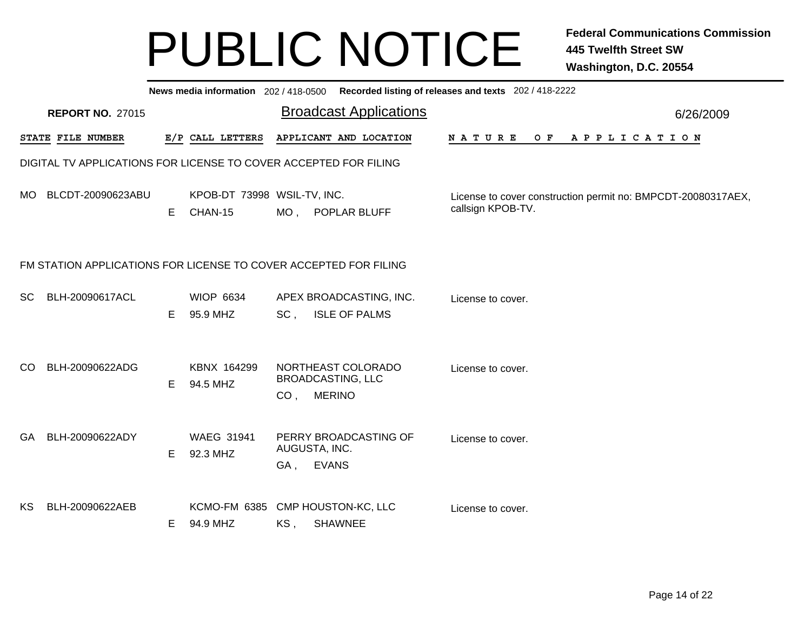|           | News media information 202/418-0500 Recorded listing of releases and texts 202/418-2222 |    |                                        |                 |                                                                 |                                                                                   |           |  |  |  |  |  |
|-----------|-----------------------------------------------------------------------------------------|----|----------------------------------------|-----------------|-----------------------------------------------------------------|-----------------------------------------------------------------------------------|-----------|--|--|--|--|--|
|           | <b>REPORT NO. 27015</b>                                                                 |    |                                        |                 | <b>Broadcast Applications</b>                                   |                                                                                   | 6/26/2009 |  |  |  |  |  |
|           | STATE FILE NUMBER                                                                       |    | E/P CALL LETTERS                       |                 | APPLICANT AND LOCATION                                          | N A T U R E<br>A P P L I C A T I O N<br>O F                                       |           |  |  |  |  |  |
|           | DIGITAL TV APPLICATIONS FOR LICENSE TO COVER ACCEPTED FOR FILING                        |    |                                        |                 |                                                                 |                                                                                   |           |  |  |  |  |  |
|           | MO BLCDT-20090623ABU                                                                    | E. | KPOB-DT 73998 WSIL-TV, INC.<br>CHAN-15 |                 | MO, POPLAR BLUFF                                                | License to cover construction permit no: BMPCDT-20080317AEX,<br>callsign KPOB-TV. |           |  |  |  |  |  |
|           | FM STATION APPLICATIONS FOR LICENSE TO COVER ACCEPTED FOR FILING                        |    |                                        |                 |                                                                 |                                                                                   |           |  |  |  |  |  |
| <b>SC</b> | BLH-20090617ACL                                                                         | E. | <b>WIOP 6634</b><br>95.9 MHZ           | SC,             | APEX BROADCASTING, INC.<br><b>ISLE OF PALMS</b>                 | License to cover.                                                                 |           |  |  |  |  |  |
| CO.       | BLH-20090622ADG                                                                         | E  | KBNX 164299<br>94.5 MHZ                | CO <sub>1</sub> | NORTHEAST COLORADO<br><b>BROADCASTING, LLC</b><br><b>MERINO</b> | License to cover.                                                                 |           |  |  |  |  |  |
| <b>GA</b> | BLH-20090622ADY                                                                         | E. | <b>WAEG 31941</b><br>92.3 MHZ          | GA,             | PERRY BROADCASTING OF<br>AUGUSTA, INC.<br><b>EVANS</b>          | License to cover.                                                                 |           |  |  |  |  |  |
| KS.       | BLH-20090622AEB                                                                         | E. | <b>KCMO-FM 6385</b><br>94.9 MHZ        | KS,             | CMP HOUSTON-KC, LLC<br><b>SHAWNEE</b>                           | License to cover.                                                                 |           |  |  |  |  |  |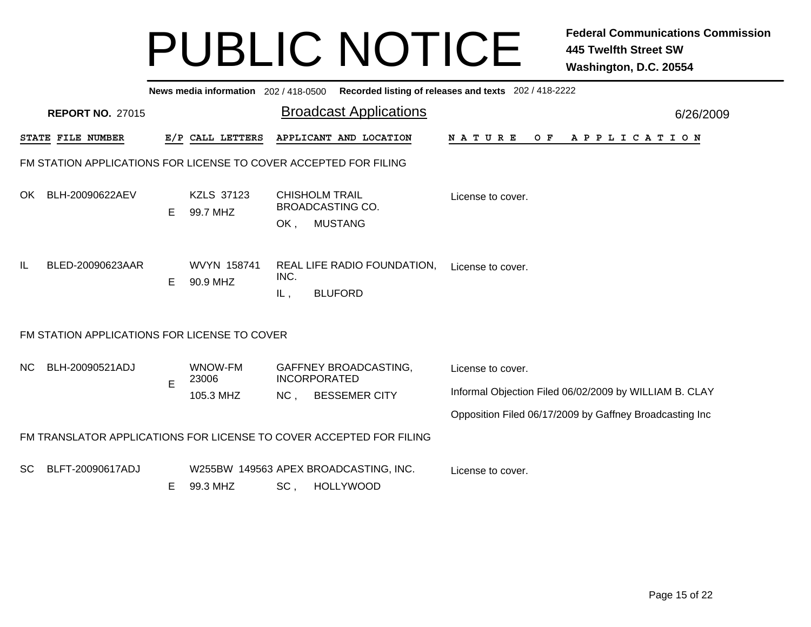|     | News media information 202/418-0500 Recorded listing of releases and texts 202/418-2222 |    |                         |             |                                                                     |                                                         |           |  |  |  |  |
|-----|-----------------------------------------------------------------------------------------|----|-------------------------|-------------|---------------------------------------------------------------------|---------------------------------------------------------|-----------|--|--|--|--|
|     | <b>REPORT NO. 27015</b>                                                                 |    |                         |             | <b>Broadcast Applications</b>                                       |                                                         | 6/26/2009 |  |  |  |  |
|     | STATE FILE NUMBER                                                                       |    | E/P CALL LETTERS        |             | APPLICANT AND LOCATION                                              | OF APPLICATION<br>N A T U R E                           |           |  |  |  |  |
|     | FM STATION APPLICATIONS FOR LICENSE TO COVER ACCEPTED FOR FILING                        |    |                         |             |                                                                     |                                                         |           |  |  |  |  |
| OK  | BLH-20090622AEV                                                                         | E. | KZLS 37123<br>99.7 MHZ  | OK,         | <b>CHISHOLM TRAIL</b><br><b>BROADCASTING CO.</b><br><b>MUSTANG</b>  | License to cover.                                       |           |  |  |  |  |
| IL  | BLED-20090623AAR                                                                        | Е  | WVYN 158741<br>90.9 MHZ | INC.<br>IL, | REAL LIFE RADIO FOUNDATION,<br><b>BLUFORD</b>                       | License to cover.                                       |           |  |  |  |  |
|     | FM STATION APPLICATIONS FOR LICENSE TO COVER                                            |    |                         |             |                                                                     |                                                         |           |  |  |  |  |
| NC. | BLH-20090521ADJ                                                                         |    | WNOW-FM<br>23006        |             | <b>GAFFNEY BROADCASTING,</b><br><b>INCORPORATED</b>                 | License to cover.                                       |           |  |  |  |  |
|     |                                                                                         | E  | 105.3 MHZ               | NC,         | <b>BESSEMER CITY</b>                                                | Informal Objection Filed 06/02/2009 by WILLIAM B. CLAY  |           |  |  |  |  |
|     |                                                                                         |    |                         |             |                                                                     | Opposition Filed 06/17/2009 by Gaffney Broadcasting Inc |           |  |  |  |  |
|     |                                                                                         |    |                         |             | FM TRANSLATOR APPLICATIONS FOR LICENSE TO COVER ACCEPTED FOR FILING |                                                         |           |  |  |  |  |
| SC. | BLFT-20090617ADJ                                                                        | Е  | 99.3 MHZ                | $SC$ ,      | W255BW 149563 APEX BROADCASTING, INC.<br><b>HOLLYWOOD</b>           | License to cover.                                       |           |  |  |  |  |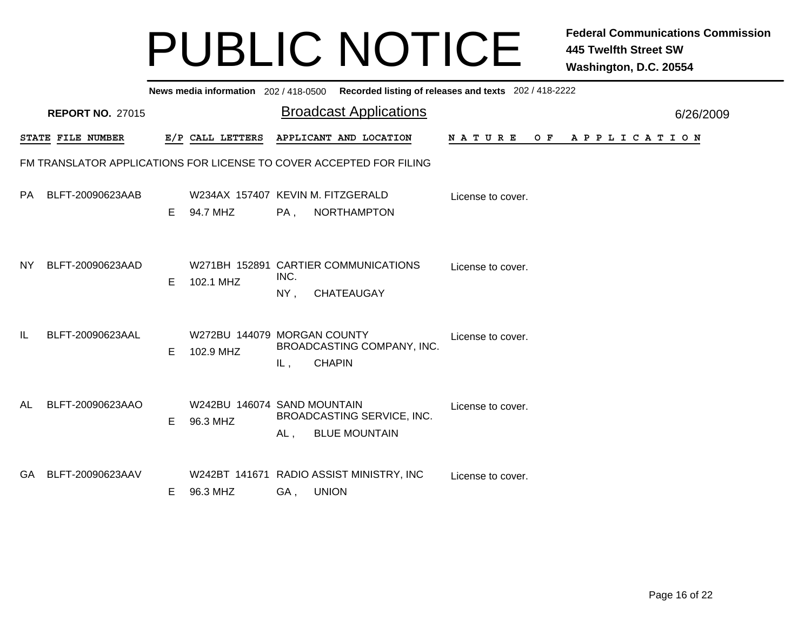|                                                                     | News media information 202/418-0500 Recorded listing of releases and texts 202/418-2222 |    |                                               |                |                                                           |                    |                       |           |  |  |  |  |
|---------------------------------------------------------------------|-----------------------------------------------------------------------------------------|----|-----------------------------------------------|----------------|-----------------------------------------------------------|--------------------|-----------------------|-----------|--|--|--|--|
|                                                                     | <b>REPORT NO. 27015</b>                                                                 |    |                                               |                | <b>Broadcast Applications</b>                             |                    |                       | 6/26/2009 |  |  |  |  |
|                                                                     | STATE FILE NUMBER                                                                       |    | E/P CALL LETTERS                              |                | APPLICANT AND LOCATION                                    | N A T U R E<br>O F | A P P L I C A T I O N |           |  |  |  |  |
| FM TRANSLATOR APPLICATIONS FOR LICENSE TO COVER ACCEPTED FOR FILING |                                                                                         |    |                                               |                |                                                           |                    |                       |           |  |  |  |  |
| PA                                                                  | BLFT-20090623AAB                                                                        | E. | W234AX 157407 KEVIN M. FITZGERALD<br>94.7 MHZ | PA,            | NORTHAMPTON                                               | License to cover.  |                       |           |  |  |  |  |
| NY.                                                                 | BLFT-20090623AAD                                                                        | E  | 102.1 MHZ                                     | INC.<br>$NY$ , | W271BH 152891 CARTIER COMMUNICATIONS<br><b>CHATEAUGAY</b> | License to cover.  |                       |           |  |  |  |  |
| IL                                                                  | BLFT-20090623AAL                                                                        | E. | W272BU 144079 MORGAN COUNTY<br>102.9 MHZ      | IL,            | BROADCASTING COMPANY, INC.<br><b>CHAPIN</b>               | License to cover.  |                       |           |  |  |  |  |
| AL                                                                  | BLFT-20090623AAO                                                                        | E. | W242BU 146074 SAND MOUNTAIN<br>96.3 MHZ       | AL,            | <b>BROADCASTING SERVICE, INC.</b><br><b>BLUE MOUNTAIN</b> | License to cover.  |                       |           |  |  |  |  |
| GA.                                                                 | BLFT-20090623AAV                                                                        | Е  | 96.3 MHZ                                      | GA,            | W242BT 141671 RADIO ASSIST MINISTRY, INC<br><b>UNION</b>  | License to cover.  |                       |           |  |  |  |  |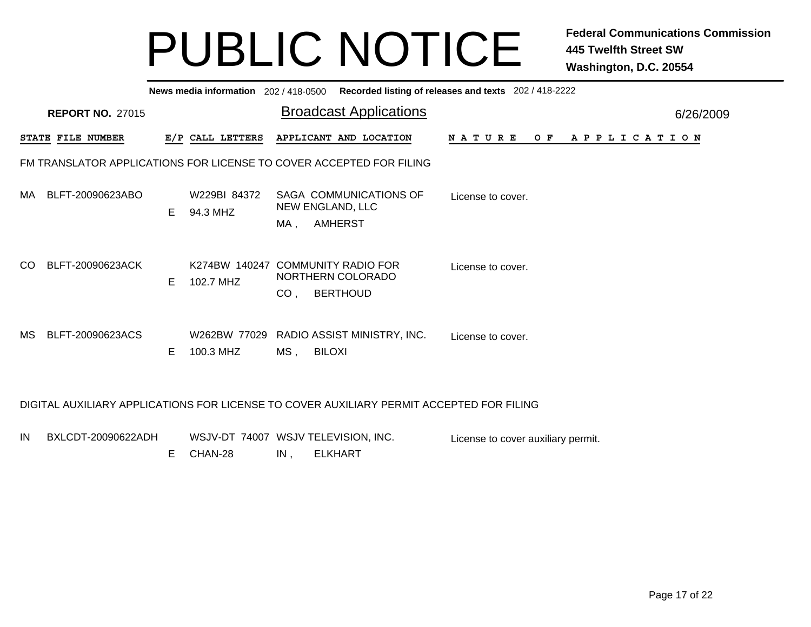| News media information 202/418-0500 Recorded listing of releases and texts 202/418-2222  |    |                           |                 |                                                                           |                   |     |                       |           |  |  |
|------------------------------------------------------------------------------------------|----|---------------------------|-----------------|---------------------------------------------------------------------------|-------------------|-----|-----------------------|-----------|--|--|
| <b>REPORT NO. 27015</b>                                                                  |    |                           |                 | <b>Broadcast Applications</b>                                             |                   |     |                       | 6/26/2009 |  |  |
| STATE FILE NUMBER                                                                        |    | E/P CALL LETTERS          |                 | APPLICANT AND LOCATION                                                    | N A T U R E       | O F | A P P L I C A T I O N |           |  |  |
| FM TRANSLATOR APPLICATIONS FOR LICENSE TO COVER ACCEPTED FOR FILING                      |    |                           |                 |                                                                           |                   |     |                       |           |  |  |
| BLFT-20090623ABO<br>MA.                                                                  | E. | W229BI 84372<br>94.3 MHZ  |                 | SAGA COMMUNICATIONS OF<br><b>NEW ENGLAND, LLC</b>                         | License to cover. |     |                       |           |  |  |
|                                                                                          |    |                           | MA,             | <b>AMHERST</b>                                                            |                   |     |                       |           |  |  |
| BLFT-20090623ACK<br>CO.                                                                  | E. | 102.7 MHZ                 | CO <sub>1</sub> | K274BW 140247 COMMUNITY RADIO FOR<br>NORTHERN COLORADO<br><b>BERTHOUD</b> | License to cover. |     |                       |           |  |  |
| <b>MS</b><br>BLFT-20090623ACS                                                            | E. | W262BW 77029<br>100.3 MHZ | $MS$ ,          | RADIO ASSIST MINISTRY, INC.<br><b>BILOXI</b>                              | License to cover. |     |                       |           |  |  |
| DIGITAL AUXILIARY APPLICATIONS FOR LICENSE TO COVER AUXILIARY PERMIT ACCEPTED FOR FILING |    |                           |                 |                                                                           |                   |     |                       |           |  |  |

| IN BXLCDT-20090622ADH |  |           |        | WSJV-DT 74007 WSJV TELEVISION, INC. | License to cover auxiliary permit. |
|-----------------------|--|-----------|--------|-------------------------------------|------------------------------------|
|                       |  | E CHAN-28 | $IN$ . | ELKHART                             |                                    |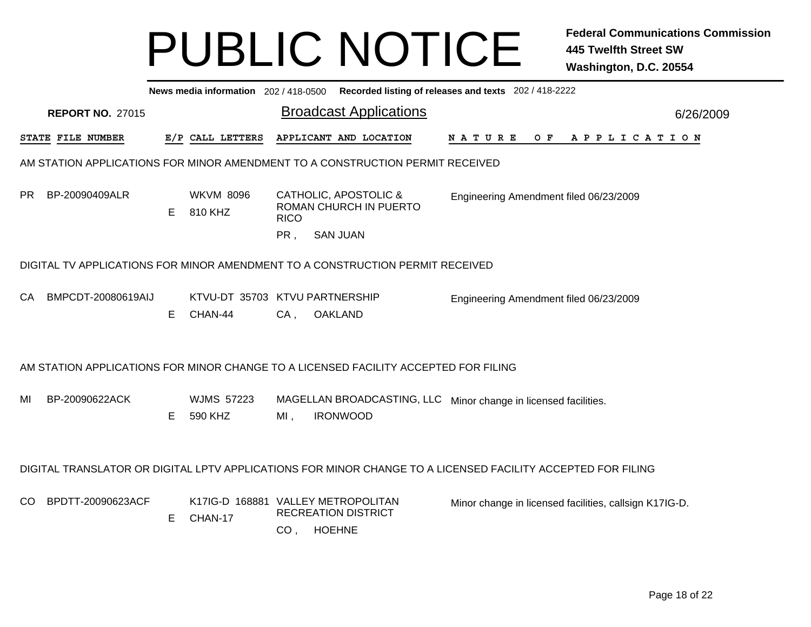|     |                         |    |                                           |                    | News media information 202 / 418-0500 Recorded listing of releases and texts 202 / 418-2222                 |                                                        |  |  |  |  |                |  |           |  |
|-----|-------------------------|----|-------------------------------------------|--------------------|-------------------------------------------------------------------------------------------------------------|--------------------------------------------------------|--|--|--|--|----------------|--|-----------|--|
|     | <b>REPORT NO. 27015</b> |    |                                           |                    | <b>Broadcast Applications</b>                                                                               |                                                        |  |  |  |  |                |  | 6/26/2009 |  |
|     | STATE FILE NUMBER       |    | E/P CALL LETTERS                          |                    | APPLICANT AND LOCATION                                                                                      | N A T U R E                                            |  |  |  |  | OF APPLICATION |  |           |  |
|     |                         |    |                                           |                    | AM STATION APPLICATIONS FOR MINOR AMENDMENT TO A CONSTRUCTION PERMIT RECEIVED                               |                                                        |  |  |  |  |                |  |           |  |
| PR. | BP-20090409ALR          | E  | <b>WKVM 8096</b><br>810 KHZ               | <b>RICO</b><br>PR, | CATHOLIC, APOSTOLIC &<br>ROMAN CHURCH IN PUERTO<br><b>SAN JUAN</b>                                          | Engineering Amendment filed 06/23/2009                 |  |  |  |  |                |  |           |  |
|     |                         |    |                                           |                    | DIGITAL TV APPLICATIONS FOR MINOR AMENDMENT TO A CONSTRUCTION PERMIT RECEIVED                               |                                                        |  |  |  |  |                |  |           |  |
| CA. | BMPCDT-20080619AIJ      | E. | KTVU-DT 35703 KTVU PARTNERSHIP<br>CHAN-44 | $CA$ ,             | <b>OAKLAND</b>                                                                                              | Engineering Amendment filed 06/23/2009                 |  |  |  |  |                |  |           |  |
|     |                         |    |                                           |                    | AM STATION APPLICATIONS FOR MINOR CHANGE TO A LICENSED FACILITY ACCEPTED FOR FILING                         |                                                        |  |  |  |  |                |  |           |  |
| MI  | BP-20090622ACK          | Е  | <b>WJMS 57223</b><br>590 KHZ              | MI,                | MAGELLAN BROADCASTING, LLC Minor change in licensed facilities.<br><b>IRONWOOD</b>                          |                                                        |  |  |  |  |                |  |           |  |
|     |                         |    |                                           |                    | DIGITAL TRANSLATOR OR DIGITAL LPTV APPLICATIONS FOR MINOR CHANGE TO A LICENSED FACILITY ACCEPTED FOR FILING |                                                        |  |  |  |  |                |  |           |  |
| CO. | BPDTT-20090623ACF       | Е  | CHAN-17                                   | CO <sub>1</sub>    | K17IG-D 168881 VALLEY METROPOLITAN<br><b>RECREATION DISTRICT</b><br><b>HOEHNE</b>                           | Minor change in licensed facilities, callsign K17IG-D. |  |  |  |  |                |  |           |  |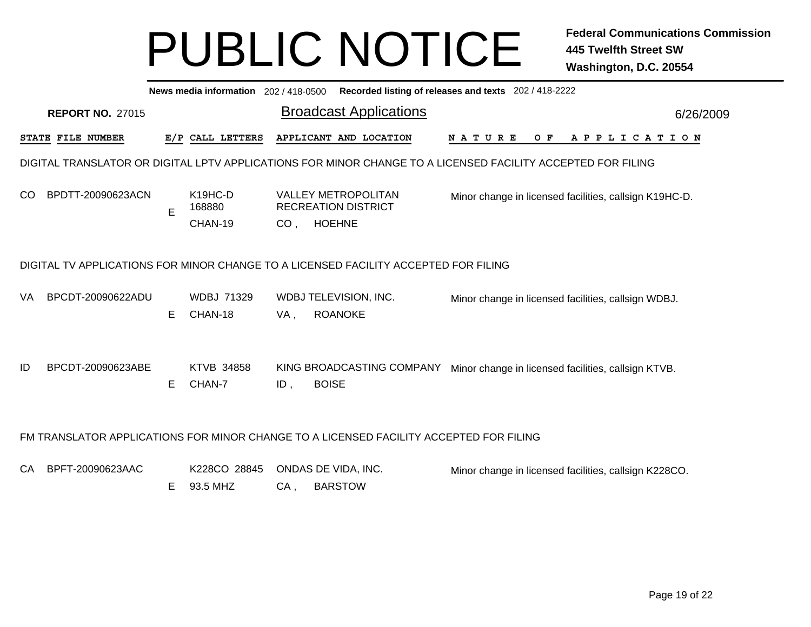|     | News media information 202 / 418-0500 Recorded listing of releases and texts 202 / 418-2222 |    |                                |                 |                                                                                                             |             |  |                                                        |           |  |  |  |
|-----|---------------------------------------------------------------------------------------------|----|--------------------------------|-----------------|-------------------------------------------------------------------------------------------------------------|-------------|--|--------------------------------------------------------|-----------|--|--|--|
|     | <b>REPORT NO. 27015</b>                                                                     |    |                                |                 | <b>Broadcast Applications</b>                                                                               |             |  |                                                        | 6/26/2009 |  |  |  |
|     | STATE FILE NUMBER                                                                           |    | E/P CALL LETTERS               |                 | APPLICANT AND LOCATION                                                                                      | N A T U R E |  | OF APPLICATION                                         |           |  |  |  |
|     |                                                                                             |    |                                |                 | DIGITAL TRANSLATOR OR DIGITAL LPTV APPLICATIONS FOR MINOR CHANGE TO A LICENSED FACILITY ACCEPTED FOR FILING |             |  |                                                        |           |  |  |  |
| CO. | BPDTT-20090623ACN                                                                           | E  | K <sub>19</sub> HC-D<br>168880 |                 | <b>VALLEY METROPOLITAN</b><br><b>RECREATION DISTRICT</b>                                                    |             |  | Minor change in licensed facilities, callsign K19HC-D. |           |  |  |  |
|     |                                                                                             |    | CHAN-19                        | CO <sub>1</sub> | <b>HOEHNE</b>                                                                                               |             |  |                                                        |           |  |  |  |
| VA  | DIGITAL TV APPLICATIONS FOR MINOR CHANGE TO A LICENSED FACILITY ACCEPTED FOR FILING         |    |                                |                 |                                                                                                             |             |  |                                                        |           |  |  |  |
|     | BPCDT-20090622ADU                                                                           | E. | <b>WDBJ 71329</b><br>CHAN-18   | VA,             | WDBJ TELEVISION, INC.<br><b>ROANOKE</b>                                                                     |             |  | Minor change in licensed facilities, callsign WDBJ.    |           |  |  |  |
| ID  | BPCDT-20090623ABE                                                                           | E. | <b>KTVB 34858</b><br>CHAN-7    | $ID$ ,          | KING BROADCASTING COMPANY<br><b>BOISE</b>                                                                   |             |  | Minor change in licensed facilities, callsign KTVB.    |           |  |  |  |
|     |                                                                                             |    |                                |                 | FM TRANSLATOR APPLICATIONS FOR MINOR CHANGE TO A LICENSED FACILITY ACCEPTED FOR FILING                      |             |  |                                                        |           |  |  |  |
| СA  | BPFT-20090623AAC                                                                            | Е  | K228CO 28845<br>93.5 MHZ       | $CA$ ,          | ONDAS DE VIDA, INC.<br><b>BARSTOW</b>                                                                       |             |  | Minor change in licensed facilities, callsign K228CO.  |           |  |  |  |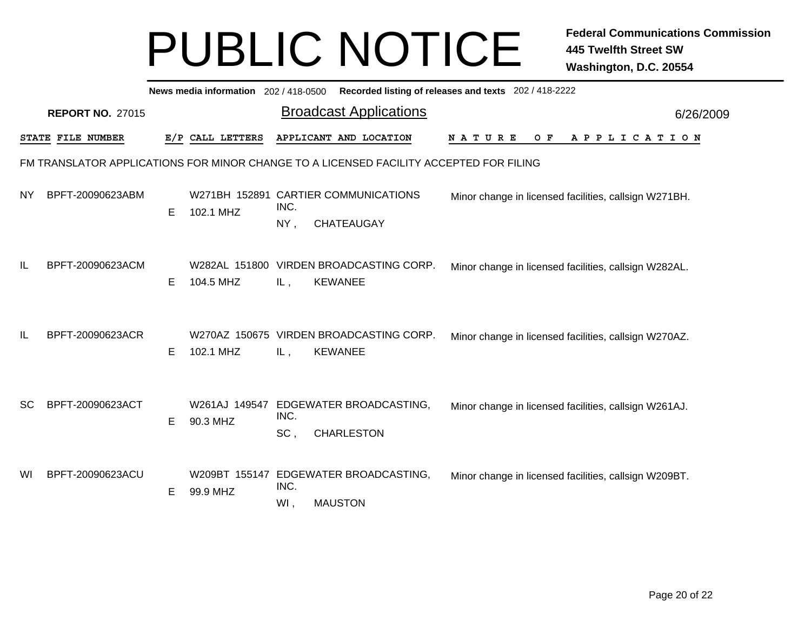|    | News media information 202 / 418-0500<br>Recorded listing of releases and texts 202 / 418-2222 |    |                  |             |                                                                                        |                                                       |           |  |  |  |  |  |
|----|------------------------------------------------------------------------------------------------|----|------------------|-------------|----------------------------------------------------------------------------------------|-------------------------------------------------------|-----------|--|--|--|--|--|
|    | <b>REPORT NO. 27015</b>                                                                        |    |                  |             | <b>Broadcast Applications</b>                                                          |                                                       | 6/26/2009 |  |  |  |  |  |
|    | STATE FILE NUMBER                                                                              |    | E/P CALL LETTERS |             | APPLICANT AND LOCATION                                                                 | O F<br>N A T U R E<br>A P P L I C A T I O N           |           |  |  |  |  |  |
|    |                                                                                                |    |                  |             | FM TRANSLATOR APPLICATIONS FOR MINOR CHANGE TO A LICENSED FACILITY ACCEPTED FOR FILING |                                                       |           |  |  |  |  |  |
| ΝY | BPFT-20090623ABM                                                                               | E. | 102.1 MHZ        | INC.<br>NY, | W271BH 152891 CARTIER COMMUNICATIONS<br><b>CHATEAUGAY</b>                              | Minor change in licensed facilities, callsign W271BH. |           |  |  |  |  |  |
| IL | BPFT-20090623ACM                                                                               | Е  | 104.5 MHZ        | IL,         | W282AL 151800 VIRDEN BROADCASTING CORP.<br><b>KEWANEE</b>                              | Minor change in licensed facilities, callsign W282AL. |           |  |  |  |  |  |
| IL | BPFT-20090623ACR                                                                               | Е  | 102.1 MHZ        | IL,         | W270AZ 150675 VIRDEN BROADCASTING CORP.<br><b>KEWANEE</b>                              | Minor change in licensed facilities, callsign W270AZ. |           |  |  |  |  |  |
| SC | BPFT-20090623ACT                                                                               | E  | 90.3 MHZ         | INC.<br>SC, | W261AJ 149547 EDGEWATER BROADCASTING,<br><b>CHARLESTON</b>                             | Minor change in licensed facilities, callsign W261AJ. |           |  |  |  |  |  |
| WI | BPFT-20090623ACU                                                                               | Е  | 99.9 MHZ         | INC.<br>WI, | W209BT 155147 EDGEWATER BROADCASTING,<br><b>MAUSTON</b>                                | Minor change in licensed facilities, callsign W209BT. |           |  |  |  |  |  |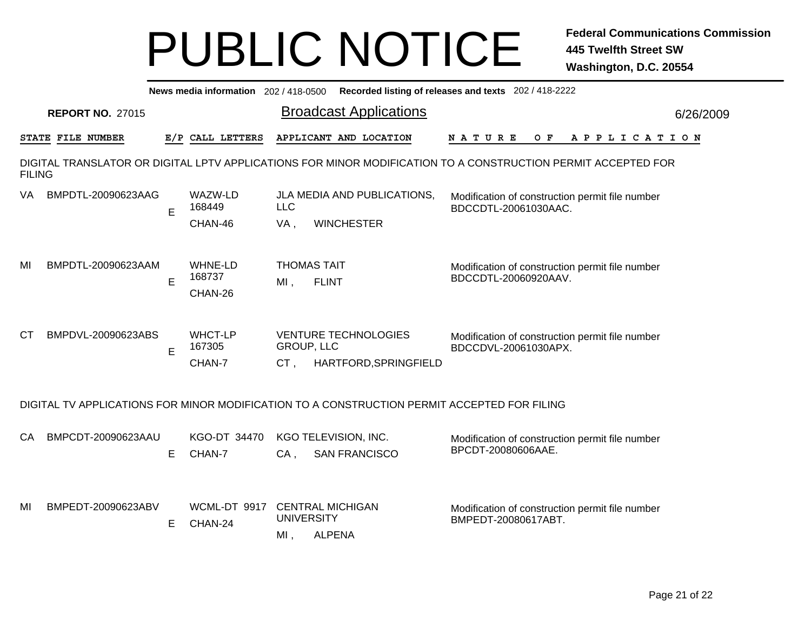|               | Recorded listing of releases and texts 202 / 418-2222<br>News media information 202 / 418-0500 |   |                                     |                                                                              |                                                                                                              |           |  |  |  |  |  |
|---------------|------------------------------------------------------------------------------------------------|---|-------------------------------------|------------------------------------------------------------------------------|--------------------------------------------------------------------------------------------------------------|-----------|--|--|--|--|--|
|               | <b>REPORT NO. 27015</b>                                                                        |   |                                     | <b>Broadcast Applications</b>                                                |                                                                                                              | 6/26/2009 |  |  |  |  |  |
|               | STATE FILE NUMBER                                                                              |   | E/P CALL LETTERS                    | APPLICANT AND LOCATION                                                       | N A T U R E<br>O F<br>A P P L I C A T I O N                                                                  |           |  |  |  |  |  |
| <b>FILING</b> |                                                                                                |   |                                     |                                                                              | DIGITAL TRANSLATOR OR DIGITAL LPTV APPLICATIONS FOR MINOR MODIFICATION TO A CONSTRUCTION PERMIT ACCEPTED FOR |           |  |  |  |  |  |
| VA.           | BMPDTL-20090623AAG                                                                             | E | WAZW-LD<br>168449<br>CHAN-46        | JLA MEDIA AND PUBLICATIONS,<br><b>LLC</b><br>VA,<br><b>WINCHESTER</b>        | Modification of construction permit file number<br>BDCCDTL-20061030AAC.                                      |           |  |  |  |  |  |
| MI            | BMPDTL-20090623AAM                                                                             | E | <b>WHNE-LD</b><br>168737<br>CHAN-26 | <b>THOMAS TAIT</b><br>$MI$ ,<br><b>FLINT</b>                                 | Modification of construction permit file number<br>BDCCDTL-20060920AAV.                                      |           |  |  |  |  |  |
| <b>CT</b>     | BMPDVL-20090623ABS                                                                             | E | <b>WHCT-LP</b><br>167305<br>CHAN-7  | <b>VENTURE TECHNOLOGIES</b><br>GROUP, LLC<br>$CT$ .<br>HARTFORD, SPRINGFIELD | Modification of construction permit file number<br>BDCCDVL-20061030APX.                                      |           |  |  |  |  |  |
|               |                                                                                                |   |                                     |                                                                              | DIGITAL TV APPLICATIONS FOR MINOR MODIFICATION TO A CONSTRUCTION PERMIT ACCEPTED FOR FILING                  |           |  |  |  |  |  |
| CA            | BMPCDT-20090623AAU                                                                             | E | KGO-DT 34470<br>CHAN-7              | KGO TELEVISION, INC.<br>$CA$ .<br><b>SAN FRANCISCO</b>                       | Modification of construction permit file number<br>BPCDT-20080606AAE.                                        |           |  |  |  |  |  |
| MI            | BMPEDT-20090623ABV                                                                             | E | WCML-DT 9917<br>CHAN-24             | <b>CENTRAL MICHIGAN</b><br><b>UNIVERSITY</b><br><b>ALPENA</b><br>$MI$ ,      | Modification of construction permit file number<br>BMPEDT-20080617ABT.                                       |           |  |  |  |  |  |